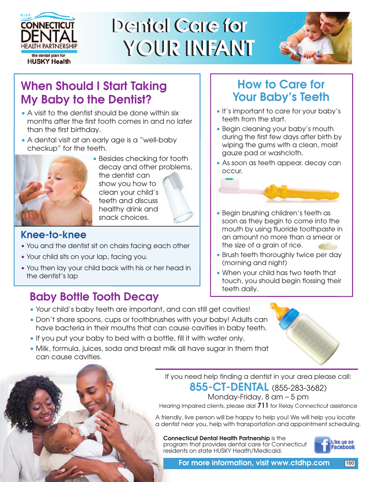

# **Dental Care for Dental Care for YOUR INFANT YOUR INFANT**



### **When Should I Start Taking My Baby to the Dentist?**

- A visit to the dentist should be done within six months after the first tooth comes in and no later than the first birthday.
- A dental visit at an early age is a "well-baby checkup" for the teeth.



• Besides checking for tooth decay and other problems, the dentist can show you how to clean your child's teeth and discuss healthy drink and snack choices.

#### **Knee-to-knee**

- You and the dentist sit on chairs facing each other
- Your child sits on your lap, facing you.
- You then lay your child back with his or her head in the dentist's lap

### **Baby Bottle Tooth Decay**

#### • Your child's baby teeth are important, and can still get cavities!

- Don't share spoons, cups or toothbrushes with your baby! Adults can have bacteria in their mouths that can cause cavities in baby teeth.
- If you put your baby to bed with a bottle, fill it with water only.
- Milk, formula, juices, soda and breast milk all have sugar in them that can cause cavities.

If you need help finding a dentist in your area please call:

**855-CT-DENTAL** (855-283-3682)

Monday-Friday, 8 am — 5 pm

Hearing impaired clients, please dial **711** for Relay Connecticut assistance

A friendly, live person will be happy to help you! We will help you locate a dentist near you, help with transportation and appointment scheduling.

**Connecticut Dental Health Partnership** is the program that provides dental care for Connecticut residents on state HUSKY Health/Medicaid.



## **How to Care for Your Baby's Teeth**

- It's important to care for your baby's teeth from the start.
- Begin cleaning your baby's mouth during the first few days after birth by wiping the gums with a clean, moist gauze pad or washcloth.
- As soon as teeth appear, decay can occur.



- Begin brushing children's teeth as soon as they begin to come into the mouth by using fluoride toothpaste in an amount no more than a smear or the size of a grain of rice.
- Brush teeth thoroughly twice per day (morning and night)
- When your child has two teeth that touch, you should begin flossing their teeth daily.